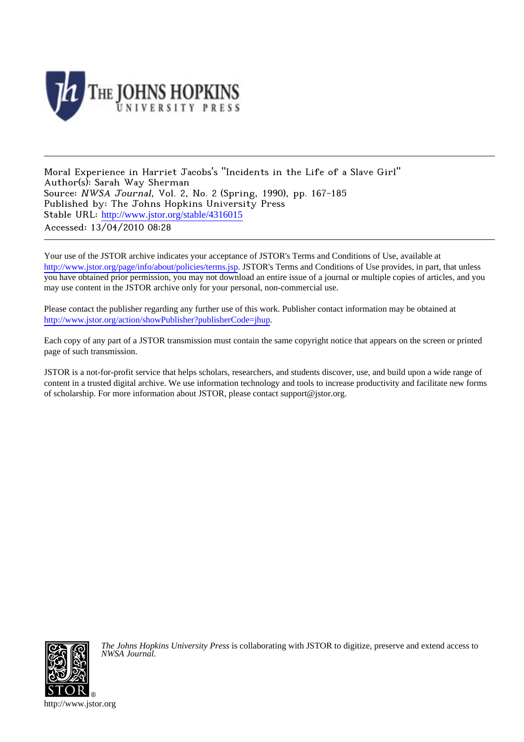

Moral Experience in Harriet Jacobs's "Incidents in the Life of a Slave Girl" Author(s): Sarah Way Sherman Source: NWSA Journal, Vol. 2, No. 2 (Spring, 1990), pp. 167-185 Published by: The Johns Hopkins University Press Stable URL: [http://www.jstor.org/stable/4316015](http://www.jstor.org/stable/4316015?origin=JSTOR-pdf) Accessed: 13/04/2010 08:28

Your use of the JSTOR archive indicates your acceptance of JSTOR's Terms and Conditions of Use, available at <http://www.jstor.org/page/info/about/policies/terms.jsp>. JSTOR's Terms and Conditions of Use provides, in part, that unless you have obtained prior permission, you may not download an entire issue of a journal or multiple copies of articles, and you may use content in the JSTOR archive only for your personal, non-commercial use.

Please contact the publisher regarding any further use of this work. Publisher contact information may be obtained at [http://www.jstor.org/action/showPublisher?publisherCode=jhup.](http://www.jstor.org/action/showPublisher?publisherCode=jhup)

Each copy of any part of a JSTOR transmission must contain the same copyright notice that appears on the screen or printed page of such transmission.

JSTOR is a not-for-profit service that helps scholars, researchers, and students discover, use, and build upon a wide range of content in a trusted digital archive. We use information technology and tools to increase productivity and facilitate new forms of scholarship. For more information about JSTOR, please contact support@jstor.org.



*The Johns Hopkins University Press* is collaborating with JSTOR to digitize, preserve and extend access to *NWSA Journal.*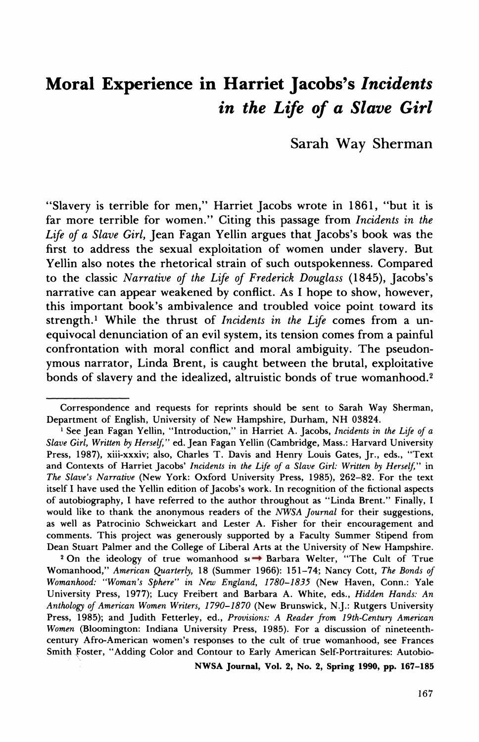## **Moral Experience in Harriet Jacobs's Incidents in the Life of a Slave Girl**

**Sarah Way Sherman** 

**"Slavery is terrible for men," Harriet Jacobs wrote in 1861, "but it is far more terrible for women." Citing this passage from Incidents in the Life of a Slave Girl, Jean Fagan Yellin argues that Jacobs's book was the first to address the sexual exploitation of women under slavery. But Yellin also notes the rhetorical strain of such outspokenness. Compared to the classic Narrative of the Life of Frederick Douglass (1845), Jacobs's narrative can appear weakened by conflict. As I hope to show, however, this important book's ambivalence and troubled voice point toward its strength.' While the thrust of Incidents in the Life comes from a unequivocal denunciation of an evil system, its tension comes from a painful confrontation with moral conflict and moral ambiguity. The pseudonymous narrator, Linda Brent, is caught between the brutal, exploitative bonds of slavery and the idealized, altruistic bonds of true womanhood.2** 

<sup>2</sup> On the ideology of true womanhood  $s \rightarrow$  Barbara Welter, "The Cult of True **Womanhood," American Quarterly, 18 (Summer 1966): 151-74; Nancy Cott, The Bonds of Womanhood: "Woman's Sphere" in New England, 1780-1835 (New Haven, Conn.: Yale University Press, 1977); Lucy Freibert and Barbara A. White, eds., Hidden Hands: An Anthology of American Women Writers, 1790-1870 (New Brunswick, N.J.: Rutgers University Press, 1985); and Judith Fetterley, ed., Provisions: A Reader from 19th-Century American Women (Bloomington: Indiana University Press, 1985). For a discussion of nineteenthcentury Afro-American women's responses to the cult of true womanhood, see Frances Smith Foster, "Adding Color and Contour to Early American Self-Portraitures: Autobio-**

**NWSA Journal, Vol. 2, No. 2, Spring 1990, pp. 167-185** 

**Correspondence and requests for reprints should be sent to Sarah Way Sherman, Department of English, University of New Hampshire, Durham, NH 03824.** 

**l See Jean Fagan Yellin, "Introduction," in Harriet A. Jacobs, Incidents in the Life of a Slave Girl, Written by Herself," ed. Jean Fagan Yellin (Cambridge, Mass.: Harvard University Press, 1987), xiii-xxxiv; also, Charles T. Davis and Henry Louis Gates, Jr., eds., "Text and Contexts of Harriet Jacobs' Incidents in the Life of a Slave Girl: Written by Herself," in The Slave's Narrative (New York: Oxford University Press, 1985), 262-82. For the text itself I have used the Yellin edition of Jacobs's work. In recognition of the fictional aspects of autobiography, I have referred to the author throughout as "Linda Brent." Finally, I would like to thank the anonymous readers of the NWSA Journal for their suggestions, as well as Patrocinio Schweickart and Lester A. Fisher for their encouragement and comments. This project was generously supported by a Faculty Summer Stipend from Dean Stuart Palmer and the College of Liberal Arts at the University of New Hampshire.**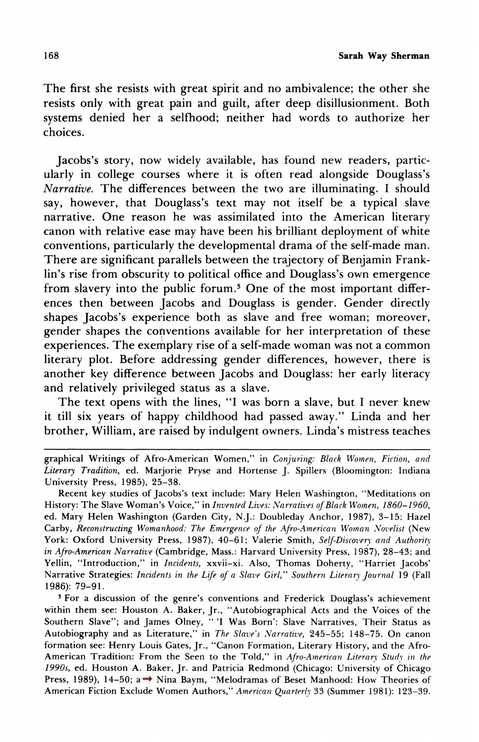**The first she resists with great spirit and no ambivalence; the other she resists only with great pain and guilt, after deep disillusionment. Both systems denied her a selfhood; neither had words to authorize her choices.** 

**Jacobs's story, now widely available, has found new readers, particularly in college courses where it is often read alongside Douglass's Narrative. The differences between the two are illuminating. I should say, however, that Douglass's text may not itself be a typical slave narrative. One reason he was assimilated into the American literary canon with relative ease may have been his brilliant deployment of white conventions, particularly the developmental drama of the self-made man. There are significant parallels between the trajectory of Benjamin Franklin's rise from obscurity to political office and Douglass's own emergence from slavery into the public forum.3 One of the most important differences then between Jacobs and Douglass is gender. Gender directly shapes Jacobs's experience both as slave and free woman; moreover,**  gender shapes the conventions available for her interpretation of these **experiences. The exemplary rise of a self-made woman was not a common literary plot. Before addressing gender differences, however, there is another key difference between Jacobs and Douglass: her early literacy and relatively privileged status as a slave.** 

**The text opens with the lines, "I was born a slave, but I never knew it till six years of happy childhood had passed away." Linda and her brother, William, are raised by indulgent owners. Linda's mistress teaches** 

graphical Writings of Afro-American Women," in Conjuring: Black Women, Fiction, and **Literary Tradition, ed. Marjorie Pryse and Hortense J. Spillers (Bloomington: Indiana University Press, 1985), 25-38.** 

**Recent key studies of Jacobs's text include: Mary Helen Washington, "Meditations on**  History: The Slave Woman's Voice," in Invented Lives: Narratives of Black Women, 1860-1960, **ed. Mary Helen Washington (Garden City, N.J.: Doubleday Anchor, 1987), 3-15; Hazel**  Carby, Reconstructing Womanhood: The Emergence of the Afro-American Woman Novelist (New **York: Oxford University Press, 1987), 40-61; Valerie Smith, Self-Discovery and Authority in Afro-American Narrative (Cambridge, Mass.: Harvard University Press, 1987), 28-43; and Yellin, "Introduction," in Incidents, xxvii-xi. Also, Thomas Doherty, "Harriet Jacobs' Narrative Strategies: Incidents in the Life of a Slave Girl," Southern Literary Journal 19 (Fall 1986): 79-91.** 

**<sup>1</sup> For a discussion of the genre's conventions and Frederick Douglass's achievement within them see: Houston A. Baker, Jr., "Autobiographical Acts and the Voices of the Southern Slave"; and James Olney, " 'I Was Born': Slave Narratives, Their Status as Autobiography and as Literature," in The Slave's Narrative, 245-55; 148-75. On canon formation see: Henry Louis Gates, Jr., "Canon Formation, Literary History, and the Afro-**American Tradition: From the Seen to the Told," in Afro-American Literary Study in the **1990s, ed. Houston A. Baker, Jr. and Patricia Redmond (Chicago: University of Chicago**  Press, 1989),  $14-50$ ; a  $\rightarrow$  Nina Baym, "Melodramas of Beset Manhood: How Theories of American Fiction Exclude Women Authors," American Quarterly 33 (Summer 1981): 123-39.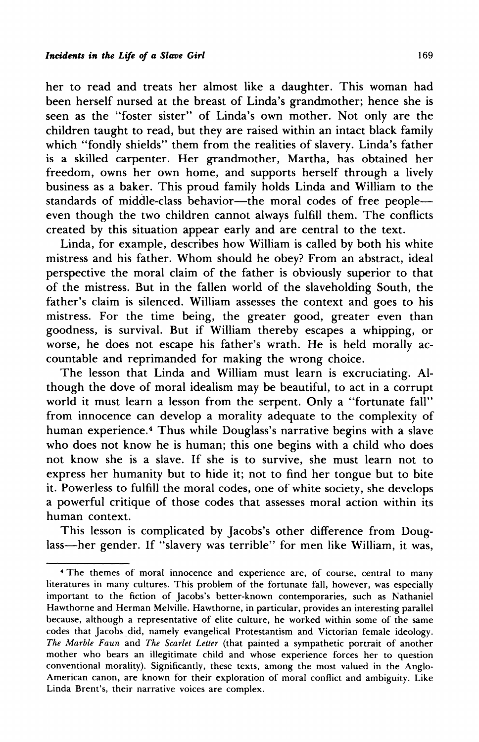**her to read and treats her almost like a daughter. This woman had been herself nursed at the breast of Linda's grandmother; hence she is seen as the "foster sister" of Linda's own mother. Not only are the children taught to read, but they are raised within an intact black family which "fondly shields" them from the realities of slavery. Linda's father is a skilled carpenter. Her grandmother, Martha, has obtained her freedom, owns her own home, and supports herself through a lively business as a baker. This proud family holds Linda and William to the**  standards of middle-class behavior-the moral codes of free people**even though the two children cannot always fulfill them. The conflicts created by this situation appear early and are central to the text.** 

**Linda, for example, describes how William is called by both his white mistress and his father. Whom should he obey? From an abstract, ideal perspective the moral claim of the father is obviously superior to that of the mistress. But in the fallen world of the slaveholding South, the father's claim is silenced. William assesses the context and goes to his mistress. For the time being, the greater good, greater even than goodness, is survival. But if William thereby escapes a whipping, or worse, he does not escape his father's wrath. He is held morally accountable and reprimanded for making the wrong choice.** 

**The lesson that Linda and William must learn is excruciating. Although the dove of moral idealism may be beautiful, to act in a corrupt world it must learn a lesson from the serpent. Only a "fortunate fall" from innocence can develop a morality adequate to the complexity of human experience.4 Thus while Douglass's narrative begins with a slave who does not know he is human; this one begins with a child who does not know she is a slave. If she is to survive, she must learn not to express her humanity but to hide it; not to find her tongue but to bite it. Powerless to fulfill the moral codes, one of white society, she develops a powerful critique of those codes that assesses moral action within its human context.** 

**This lesson is complicated by Jacobs's other difference from Douglass-her gender. If "slavery was terrible" for men like William, it was,** 

**<sup>4</sup>The themes of moral innocence and experience are, of course, central to many literatures in many cultures. This problem of the fortunate fall, however, was especially important to the fiction of Jacobs's better-known contemporaries, such as Nathaniel Hawthorne and Herman Melville. Hawthorne, in particular, provides an interesting parallel because, although a representative of elite culture, he worked within some of the same codes that Jacobs did, namely evangelical Protestantism and Victorian female ideology. The Marble Faun and The Scarlet Letter (that painted a sympathetic portrait of another mother who bears an illegitimate child and whose experience forces her to question conventional morality). Significantly, these texts, among the most valued in the Anglo-American canon, are known for their exploration of moral conflict and ambiguity. Like Linda Brent's, their narrative voices are complex.**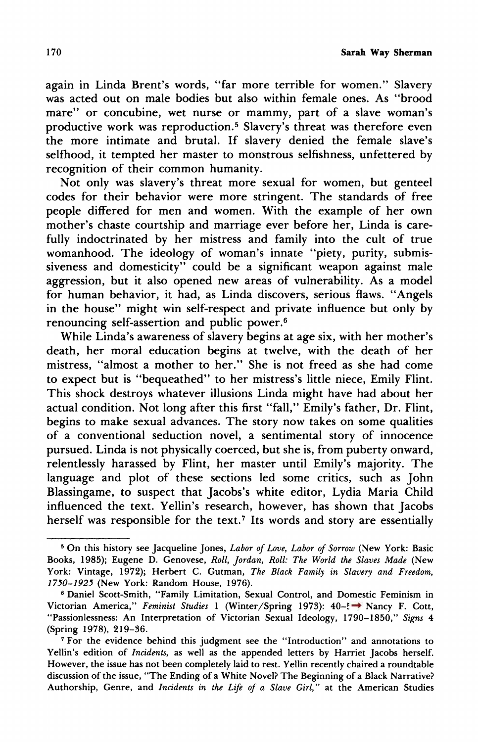**again in Linda Brent's words, "far more terrible for women." Slavery was acted out on male bodies but also within female ones. As "brood mare" or concubine, wet nurse or mammy, part of a slave woman's productive work was reproduction.5 Slavery's threat was therefore even the more intimate and brutal. If slavery denied the female slave's selfhood, it tempted her master to monstrous selfishness, unfettered by recognition of their common humanity.** 

**Not only was slavery's threat more sexual for women, but genteel codes for their behavior were more stringent. The standards of free people differed for men and women. With the example of her own mother's chaste courtship and marriage ever before her, Linda is carefully indoctrinated by her mistress and family into the cult of true womanhood. The ideology of woman's innate "piety, purity, submissiveness and domesticity" could be a significant weapon against male aggression, but it also opened new areas of vulnerability. As a model for human behavior, it had, as Linda discovers, serious flaws. "Angels in the house" might win self-respect and private influence but only by renouncing self-assertion and public power.6** 

**While Linda's awareness of slavery begins at age six, with her mother's death, her moral education begins at twelve, with the death of her mistress, "almost a mother to her." She is not freed as she had come to expect but is "bequeathed" to her mistress's little niece, Emily Flint. This shock destroys whatever illusions Linda might have had about her actual condition. Not long after this first "fall," Emily's father, Dr. Flint, begins to make sexual advances. The story now takes on some qualities of a conventional seduction novel, a sentimental story of innocence pursued. Linda is not physically coerced, but she is, from puberty onward, relentlessly harassed by Flint, her master until Emily's majority. The language and plot of these sections led some critics, such as John Blassingame, to suspect that Jacobs's white editor, Lydia Maria Child influenced the text. Yellin's research, however, has shown that Jacobs herself was responsible for the text.7 Its words and story are essentially** 

**<sup>5</sup>On this history see Jacqueline Jones, Labor of Love, Labor of Sorrow (New York: Basic Books, 1985); Eugene D. Genovese, Roll, Jordan, Roll: The World the Slaves Made (New York: Vintage, 1972); Herbert C. Gutman, The Black Family in Slavery and Freedom, 1750-1925 (New York: Random House, 1976).** 

**<sup>6</sup>Daniel Scott-Smith, "Family Limitation, Sexual Control, and Domestic Feminism in**  Victorian America," Feminist Studies 1 (Winter/Spring 1973): 40-5<sup>-></sup> Nancy F. Cott, **"Passionlessness: An Interpretation of Victorian Sexual Ideology, 1790-1850," Signs 4 (Spring 1978), 219-36.** 

**<sup>7</sup>For the evidence behind this judgment see the "Introduction" and annotations to Yellin's edition of Incidents, as well as the appended letters by Harriet Jacobs herself. However, the issue has not been completely laid to rest. Yellin recently chaired a roundtable discussion of the issue, "The Ending of a White Novel? The Beginning of a Black Narrative? Authorship, Genre, and Incidents in the Life of a Slave Girl," at the American Studies**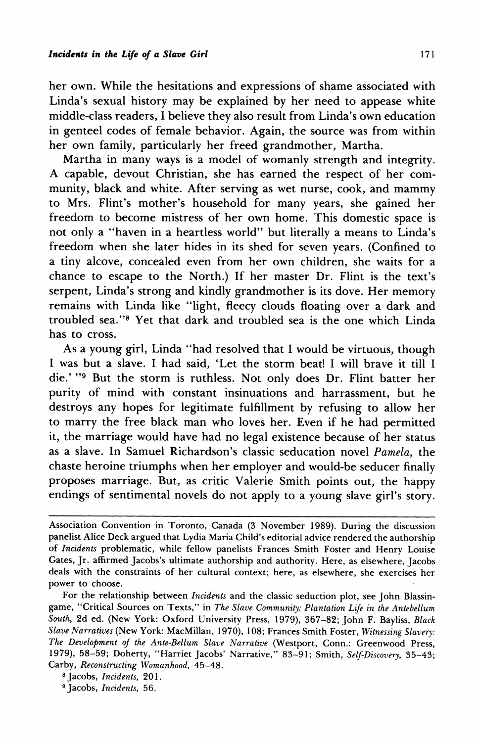**her own. While the hesitations and expressions of shame associated with Linda's sexual history may be explained by her need to appease white middle-class readers, I believe they also result from Linda's own education in genteel codes of female behavior. Again, the source was from within her own family, particularly her freed grandmother, Martha.** 

**Martha in many ways is a model of womanly strength and integrity. A capable, devout Christian, she has earned the respect of her community, black and white. After serving as wet nurse, cook, and mammy to Mrs. Flint's mother's household for many years, she gained her freedom to become mistress of her own home. This domestic space is not only a "haven in a heartless world" but literally a means to Linda's freedom when she later hides in its shed for seven years. (Confined to a tiny alcove, concealed even from her own children, she waits for a chance to escape to the North.) If her master Dr. Flint is the text's serpent, Linda's strong and kindly grandmother is its dove. Her memory remains with Linda like "light, fleecy clouds floating over a dark and troubled sea."8 Yet that dark and troubled sea is the one which Linda has to cross.** 

**As a young girl, Linda "had resolved that I would be virtuous, though I was but a slave. I had said, 'Let the storm beat! I will brave it till I die.' " But the storm is ruthless. Not only does Dr. Flint batter her purity of mind with constant insinuations and harrassment, but he destroys any hopes for legitimate fulfillment by refusing to allow her to marry the free black man who loves her. Even if he had permitted it, the marriage would have had no legal existence because of her status as a slave. In Samuel Richardson's classic seducation novel Pamela, the chaste heroine triumphs when her employer and would-be seducer finally proposes marriage. But, as critic Valerie Smith points out, the happy endings of sentimental novels do not apply to a young slave girl's story.** 

**Association Convention in Toronto, Canada (3 November 1989). During the discussion panelist Alice Deck argued that Lydia Maria Child's editorial advice rendered the authorship of Incidents problematic, while fellow panelists Frances Smith Foster and Henry Louise Gates, Jr. affirmed Jacobs's ultimate authorship and authority. Here, as elsewhere, Jacobs deals with the constraints of her cultural context; here, as elsewhere, she exercises her power to choose.** 

For the relationship between *Incidents* and the classic seduction plot, see John Blassin**game, "Critical Sources on Texts," in The Slave Community: Plantation Life in the Antebellum South, 2d ed. (New York: Oxford University Press, 1979), 367-82; John F. Bayliss, Black Slave Narratives (New York: MacMillan, 1970), 108; Frances Smith Foster, Witnessing Slavery: The Development of the Ante-Bellum Slave Narrative (Westport, Conn.: Greenwood Press, 1979), 58-59; Doherty, "Harriet Jacobs' Narrative," 83-91; Smith, Self-Discovery, 35-43; Carby, Reconstructing Womanhood, 45-48.** 

**<sup>8</sup>Jacobs, Incidents, 201.** 

<sup>&</sup>lt;sup>9</sup> Jacobs, *Incidents*, 56.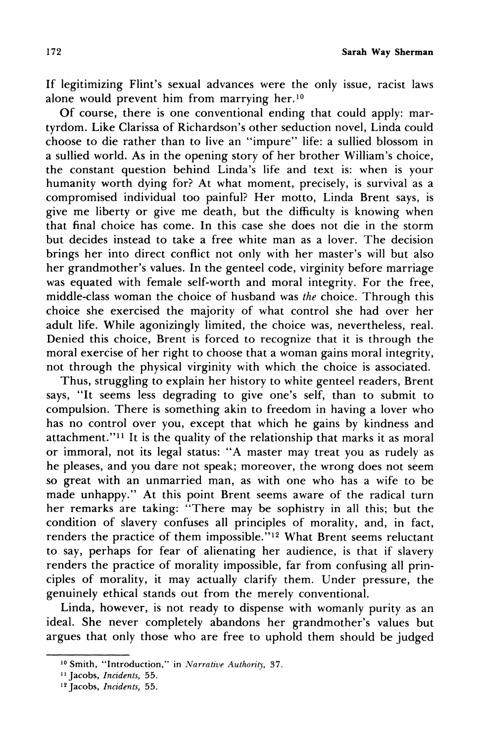**172 Sarah Way Sherman** 

**If legitimizing Flint's sexual advances were the only issue, racist laws alone would prevent him from marrying her.'0** 

**Of course, there is one conventional ending that could apply: martyrdom. Like Clarissa of Richardson's other seduction novel, Linda could choose to die rather than to live an "impure" life: a sullied blossom in a sullied world. As in the opening story of her brother William's choice, the constant question behind Linda's life and text is: when is your humanity worth dying for? At what moment, precisely, is survival as a compromised individual too painful? Her motto, Linda Brent says, is give me liberty or give me death, but the difficulty is knowing when that final choice has come. In this case she does not die in the storm but decides instead to take a free white man as a lover. The decision brings her into direct conflict not only with her master's will but also her grandmother's values. In the genteel code, virginity before marriage was equated with female self-worth and moral integrity. For the free, middle-class woman the choice of husband was the choice. Through this choice she exercised the majority of what control she had over her adult life. While agonizingly limited, the choice was, nevertheless, real. Denied this choice, Brent is forced to recognize that it is through the moral exercise of her right to choose that a woman gains moral integrity, not through the physical virginity with which the choice is associated.** 

**Thus, struggling to explain her history to white genteel readers, Brent says, "It seems less degrading to give one's self, than to submit to compulsion. There is something akin to freedom in having a lover who has no control over you, except that which he gains by kindness and**  attachment."<sup>11</sup> It is the quality of the relationship that marks it as moral **or immoral, not its legal status: "A master may treat you as rudely as he pleases, and you dare not speak; moreover, the wrong does not seem so great with an unmarried man, as with one who has a wife to be made unhappy." At this point Brent seems aware of the radical turn her remarks are taking: "There may be sophistry in all this; but the condition of slavery confuses all principles of morality, and, in fact, renders the practice of them impossible."'2 What Brent seems reluctant to say, perhaps for fear of alienating her audience, is that if slavery renders the practice of morality impossible, far from confusing all principles of morality, it may actually clarify them. Under pressure, the genuinely ethical stands out from the merely conventional.** 

**Linda, however, is not ready to dispense with womanly purity as an ideal. She never completely abandons her grandmother's values but argues that only those who are free to uphold them should be judged** 

**<sup>10</sup>Smith, "Introduction," in Narrative Authority, 37.** 

**<sup>11</sup> Jacobs, Incidents, 55.** 

<sup>&</sup>lt;sup>12</sup> Jacobs, *Incidents*, 55.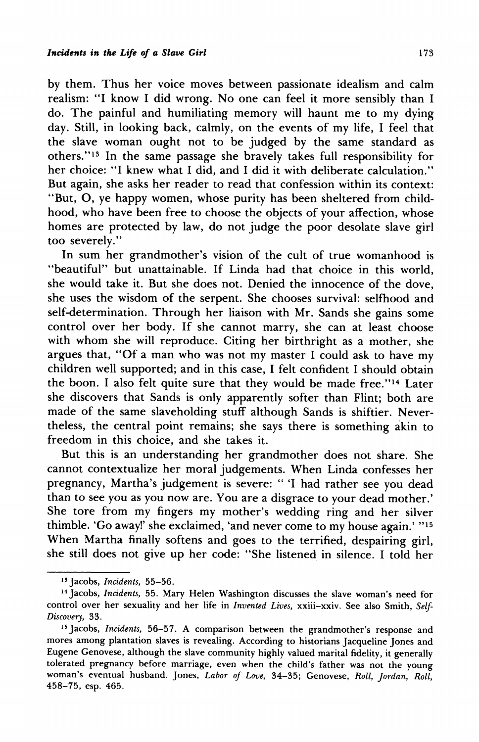**by them. Thus her voice moves between passionate idealism and calm realism: "I know I did wrong. No one can feel it more sensibly than I do. The painful and humiliating memory will haunt me to my dying day. Still, in looking back, calmly, on the events of my life, I feel that the slave woman ought not to be judged by the same standard as others."'" In the same passage she bravely takes full responsibility for her choice: "I knew what I did, and I did it with deliberate calculation." But again, she asks her reader to read that confession within its context: "But, 0, ye happy women, whose purity has been sheltered from childhood, who have been free to choose the objects of your affection, whose homes are protected by law, do not judge the poor desolate slave girl too severely."** 

**In sum her grandmother's vision of the cult of true womanhood is "beautiful" but unattainable. If Linda had that choice in this world, she would take it. But she does not. Denied the innocence of the dove, she uses the wisdom of the serpent. She chooses survival: selfhood and self-determination. Through her liaison with Mr. Sands she gains some control over her body. If she cannot marry, she can at least choose with whom she will reproduce. Citing her birthright as a mother, she argues that, "Of a man who was not my master I could ask to have my children well supported; and in this case, I felt confident I should obtain the boon. I also felt quite sure that they would be made free."'14 Later she discovers that Sands is only apparently softer than Flint; both are made of the same slaveholding stuff although Sands is shiftier. Nevertheless, the central point remains; she says there is something akin to freedom in this choice, and she takes it.** 

**But this is an understanding her grandmother does not share. She cannot contextualize her moral judgements. When Linda confesses her pregnancy, Martha's judgement is severe: " 'I had rather see you dead than to see you as you now are. You are a disgrace to your dead mother.' She tore from my fingers my mother's wedding ring and her silver thimble. 'Go away!' she exclaimed, 'and never come to my house again.' "15 When Martha finally softens and goes to the terrified, despairing girl, she still does not give up her code: "She listened in silence. I told her** 

**<sup>I</sup>Jacobs, Incidents, 55-56.** 

**<sup>&#</sup>x27;4Jacobs, Incidents, 55. Mary Helen Washington discusses the slave woman's need for control over her sexuality and her life in Invented Lives, xxiii-xxiv. See also Smith, Self-**Discovery, 33.

**<sup>15</sup> Jacobs, Incidents, 56-57. A comparison between the grandmother's response and mores among plantation slaves is revealing. According to historians Jacqueline Jones and Eugene Genovese, although the slave community highly valued marital fidelity, it generally tolerated pregnancy before marriage, even when the child's father was not the young woman's eventual husband. Jones, Labor of Love, 34-35; Genovese, Roll, Jordan, Roll, 458-75, esp. 465.**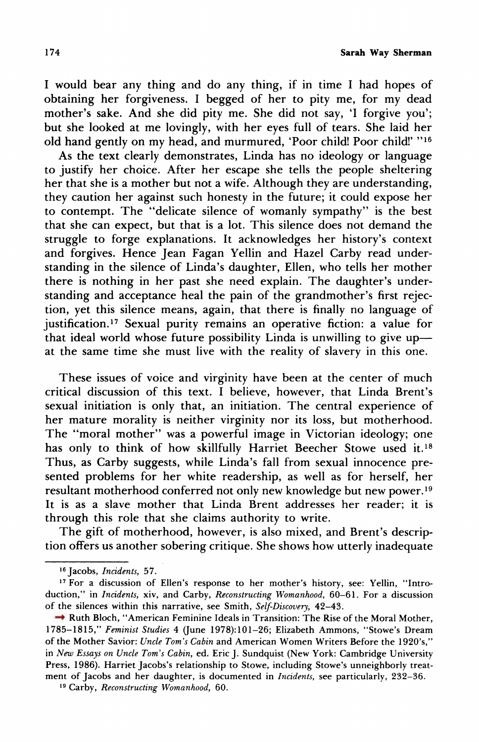**I would bear any thing and do any thing, if in time I had hopes of obtaining her forgiveness. I begged of her to pity me, for my dead**  mother's sake. And she did pity me. She did not say, 'I forgive you'; **but she looked at me lovingly, with her eyes full of tears. She laid her old hand gently on my head, and murmured, 'Poor child! Poor child!' "16** 

**As the text clearly demonstrates, Linda has no ideology or language to justify her choice. After her escape she tells the people sheltering her that she is a mother but not a wife. Although they are understanding, they caution her against such honesty in the future; it could expose her**  to contempt. The "delicate silence of womanly sympathy" is the best **that she can expect, but that is a lot. This silence does not demand the struggle to forge explanations. It acknowledges her history's context and forgives. Hence Jean Fagan Yellin and Hazel Carby read understanding in the silence of Linda's daughter, Ellen, who tells her mother there is nothing in her past she need explain. The daughter's understanding and acceptance heal the pain of the grandmother's first rejection, yet this silence means, again, that there is finally no language of justification.'7 Sexual purity remains an operative fiction: a value for that ideal world whose future possibility Linda is unwilling to give upat the same time she must live with the reality of slavery in this one.** 

**These issues of voice and virginity have been at the center of much critical discussion of this text. I believe, however, that Linda Brent's sexual initiation is only that, an initiation. The central experience of her mature morality is neither virginity nor its loss, but motherhood. The "moral mother" was a powerful image in Victorian ideology; one**  has only to think of how skillfully Harriet Beecher Stowe used it.<sup>18</sup> **Thus, as Carby suggests, while Linda's fall from sexual innocence presented problems for her white readership, as well as for herself, her resultant motherhood conferred not only new knowledge but new power.'9 It is as a slave mother that Linda Brent addresses her reader; it is through this role that she claims authority to write.** 

**The gift of motherhood, however, is also mixed, and Brent's description offers us another sobering critique. She shows how utterly inadequate** 

<sup>&</sup>lt;sup>16</sup> Jacobs, *Incidents*, 57.

**<sup>17</sup> For a discussion of Ellen's response to her mother's history, see: Yellin, "Introduction," in Incidents, xiv, and Carby, Reconstructing Womanhood, 60-61. For a discussion of the silences within this narrative, see Smith, Self-Discovery, 42-43.** 

**<sup>18</sup>Ruth Bloch, "American Feminine Ideals in Transition: The Rise of the Moral Mother, 1785-1815," Feminist Studies 4 (June 1978):101-26; Elizabeth Ammons, "Stowe's Dream of the Mother Savior: Uncle Tom's Cabin and American Women Writers Before the 1920's," in New Essays on Uncle Tom's Cabin, ed. Eric J. Sundquist (New York: Cambridge University**  Press, 1986). Harriet Jacobs's relationship to Stowe, including Stowe's unneighborly treat**ment of Jacobs and her daughter, is documented in Incidents, see particularly, 232-36.** 

**<sup>19</sup> Carby, Reconstructing Womanhood, 60.**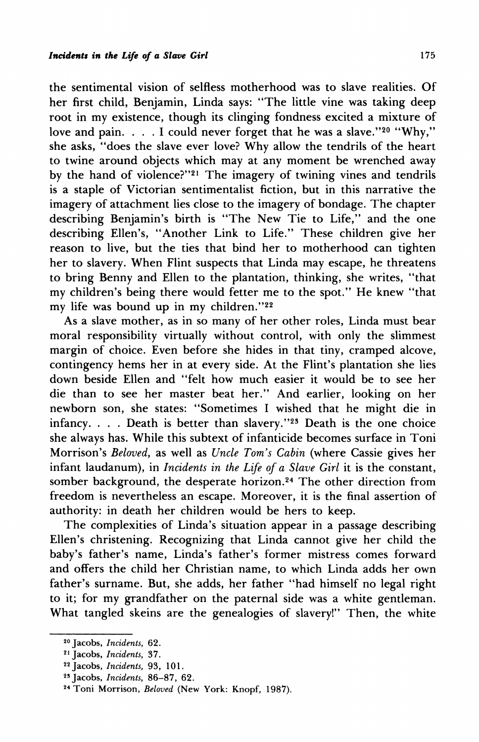**the sentimental vision of selfless motherhood was to slave realities. Of her first child, Benjamin, Linda says: "The little vine was taking deep root in my existence, though its clinging fondness excited a mixture of love and pain. . . . I could never forget that he was a slave."20 "Why," she asks, "does the slave ever love? Why allow the tendrils of the heart to twine around objects which may at any moment be wrenched away by the hand of violence?"2' The imagery of twining vines and tendrils is a staple of Victorian sentimentalist fiction, but in this narrative the imagery of attachment lies close to the imagery of bondage. The chapter describing Benjamin's birth is "The New Tie to Life," and the one describing Ellen's, "Another Link to Life." These children give her reason to live, but the ties that bind her to motherhood can tighten her to slavery. When Flint suspects that Linda may escape, he threatens to bring Benny and Ellen to the plantation, thinking, she writes, "that my children's being there would fetter me to the spot." He knew "that my life was bound up in my children."22** 

**As a slave mother, as in so many of her other roles, Linda must bear moral responsibility virtually without control, with only the slimmest margin of choice. Even before she hides in that tiny, cramped alcove, contingency hems her in at every side. At the Flint's plantation she lies down beside Ellen and "felt how much easier it would be to see her die than to see her master beat her." And earlier, looking on her newborn son, she states: "Sometimes I wished that he might die in infancy. . . . Death is better than slavery."23 Death is the one choice she always has. While this subtext of infanticide becomes surface in Toni Morrison's Beloved, as well as Uncle Tom's Cabin (where Cassie gives her infant laudanum), in Incidents in the Life of a Slave Girl it is the constant, somber background, the desperate horizon.24 The other direction from freedom is nevertheless an escape. Moreover, it is the final assertion of authority: in death her children would be hers to keep.** 

**The complexities of Linda's situation appear in a passage describing Ellen's christening. Recognizing that Linda cannot give her child the baby's father's name, Linda's father's former mistress comes forward and offers the child her Christian name, to which Linda adds her own father's surname. But, she adds, her father "had himself no legal right to it; for my grandfather on the paternal side was a white gentleman. What tangled skeins are the genealogies of slavery!" Then, the white** 

<sup>&</sup>lt;sup>20</sup> Jacobs, *Incidents*, 62.

**<sup>21</sup>Jacobs, Incidents, 37.** 

**<sup>22</sup>Jacobs, Incidents, 93, 101.** 

**<sup>2&</sup>quot;Jacobs, Incidents, 86-87, 62.** 

**<sup>24</sup> Toni Morrison, Beloved (New York: Knopf, 1987).**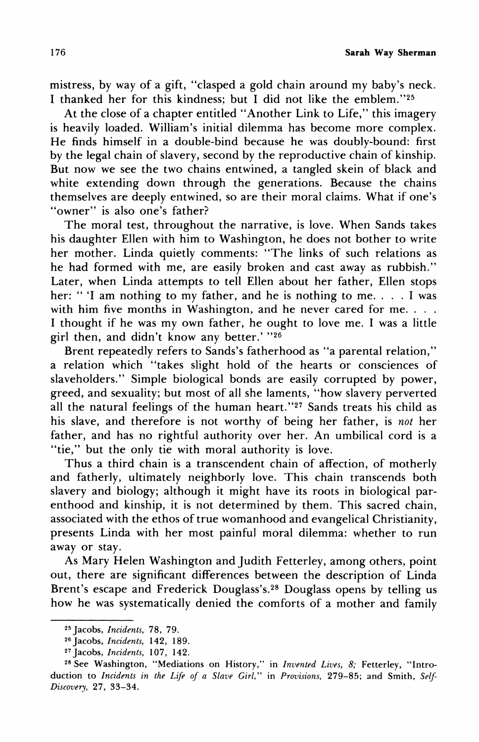**mistress, by way of a gift, "clasped a gold chain around my baby's neck. I thanked her for this kindness; but I did not like the emblem."25** 

**At the close of a chapter entitled "Another Link to Life," this imagery is heavily loaded. William's initial dilemma has become more complex. He finds himself in a double-bind because he was doubly-bound: first by the legal chain of slavery, second by the reproductive chain of kinship. But now we see the two chains entwined, a tangled skein of black and white extending down through the generations. Because the chains themselves are deeply entwined, so are their moral claims. What if one's "owner" is also one's father?** 

**The moral test, throughout the narrative, is love. When Sands takes his daughter Ellen with him to Washington, he does not bother to write her mother. Linda quietly comments: "The links of such relations as he had formed with me, are easily broken and cast away as rubbish." Later, when Linda attempts to tell Ellen about her father, Ellen stops her: "'I am nothing to my father, and he is nothing to me. . . . I was with him five months in Washington, and he never cared for me. ... I thought if he was my own father, he ought to love me. I was a little girl then, and didn't know any better.' "26** 

**Brent repeatedly refers to Sands's fatherhood as "a parental relation," a relation which "takes slight hold of the hearts or consciences of slaveholders." Simple biological bonds are easily corrupted by power, greed, and sexuality; but most of all she laments, "how slavery perverted all the natural feelings of the human heart."27 Sands treats his child as his slave, and therefore is not worthy of being her father, is not her father, and has no rightful authority over her. An umbilical cord is a "tie," but the only tie with moral authority is love.** 

**Thus a third chain is a transcendent chain of affection, of motherly and fatherly, ultimately neighborly love. This chain transcends both slavery and biology; although it might have its roots in biological parenthood and kinship, it is not determined by them. This sacred chain, associated with the ethos of true womanhood and evangelical Christianity, presents Linda with her most painful moral dilemma: whether to run away or stay.** 

**As Mary Helen Washington and Judith Fetterley, among others, point out, there are significant differences between the description of Linda Brent's escape and Frederick Douglass's.28 Douglass opens by telling us how he was systematically denied the comforts of a mother and family** 

<sup>&</sup>lt;sup>25</sup> Jacobs, *Incidents*, 78, 79.

<sup>&</sup>lt;sup>26</sup> Jacobs, *Incidents*, 142, 189.

**<sup>27</sup>Jacobs, Incidents, 107, 142.** 

**<sup>28</sup> See Washington, "Mediations on History," in Invented Lives, 8; Fetterley, "Introduction to Incidents in the Life of a Slave Girl," in Provisions, 279-85; and Smith, Self-Discovery, 27, 33-34.**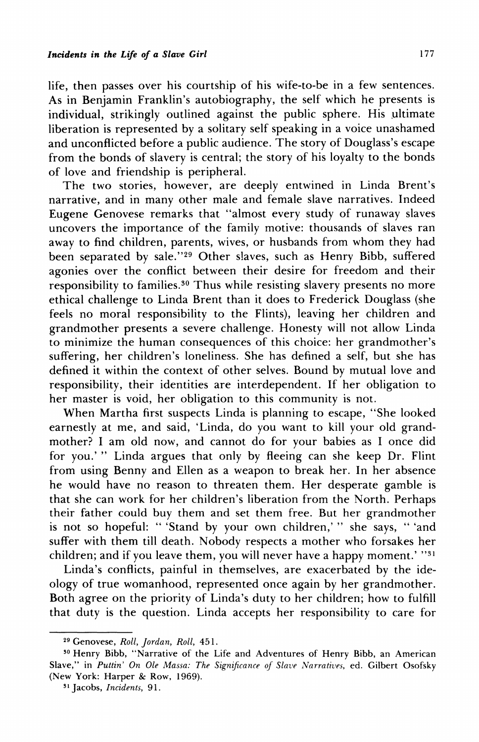**life, then passes over his courtship of his wife-to-be in a few sentences. As in Benjamin Franklin's autobiography, the self which he presents is individual, strikingly outlined against the public sphere. His ultimate liberation is represented by a solitary self speaking in a voice unashamed and unconflicted before a public audience. The story of Douglass's escape from the bonds of slavery is central; the story of his loyalty to the bonds of love and friendship is peripheral.** 

**The two stories, however, are deeply entwined in Linda Brent's narrative, and in many other male and female slave narratives. Indeed Eugene Genovese remarks that "almost every study of runaway slaves uncovers the importance of the family motive: thousands of slaves ran away to find children, parents, wives, or husbands from whom they had been separated by sale."29 Other slaves, such as Henry Bibb, suffered agonies over the conflict between their desire for freedom and their responsibility to families.30 Thus while resisting slavery presents no more ethical challenge to Linda Brent than it does to Frederick Douglass (she feels no moral responsibility to the Flints), leaving her children and grandmother presents a severe challenge. Honesty will not allow Linda to minimize the human consequences of this choice: her grandmother's suffering, her children's loneliness. She has defined a self, but she has defined it within the context of other selves. Bound by mutual love and responsibility, their identities are interdependent. If her obligation to her master is void, her obligation to this community is not.** 

**When Martha first suspects Linda is planning to escape, "She looked earnestly at me, and said, 'Linda, do you want to kill your old grandmother? I am old now, and cannot do for your babies as I once did for you.' " Linda argues that only by fleeing can she keep Dr. Flint from using Benny and Ellen as a weapon to break her. In her absence he would have no reason to threaten them. Her desperate gamble is that she can work for her children's liberation from the North. Perhaps their father could buy them and set them free. But her grandmother is not so hopeful: " 'Stand by your own children,' " she says, " 'and suffer with them till death. Nobody respects a mother who forsakes her children; and if you leave them, you will never have a happy moment.' "31** 

**Linda's conflicts, painful in themselves, are exacerbated by the ideology of true womanhood, represented once again by her grandmother. Both agree on the priority of Linda's duty to her children; how to fulfill that duty is the question. Linda accepts her responsibility to care for** 

**<sup>29</sup>Genovese, Roll, Jordan, Roll, 451.** 

**<sup>30</sup> Henry Bibb, "Narrative of the Life and Adventures of Henry Bibb, an American Slave," in Puttin' On Ole Massa: The Significance of Slave Narratives, ed. Gilbert Osofsky (New York: Harper & Row, 1969).** 

**<sup>3</sup> 'Jacobs, Incidents, 91.**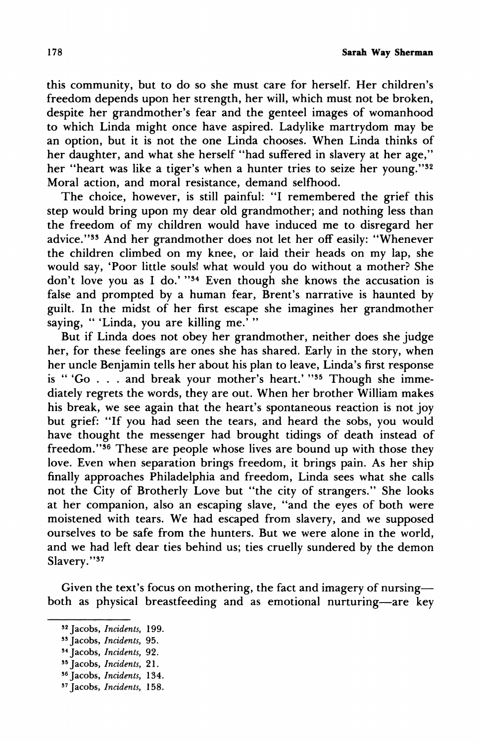**this community, but to do so she must care for herself. Her children's freedom depends upon her strength, her will, which must not be broken, despite her grandmother's fear and the genteel images of womanhood to which Linda might once have aspired. Ladylike martrydom may be an option, but it is not the one Linda chooses. When Linda thinks of her daughter, and what she herself "had suffered in slavery at her age,"**  her "heart was like a tiger's when a hunter tries to seize her young."<sup>32</sup> **Moral action, and moral resistance, demand selfhood.** 

**The choice, however, is still painful: "I remembered the grief this step would bring upon my dear old grandmother; and nothing less than the freedom of my children would have induced me to disregard her advice."" And her grandmother does not let her off easily: "Whenever the children climbed on my knee, or laid their heads on my lap, she would say, 'Poor little souls! what would you do without a mother? She don't love you as I do.' "34 Even though she knows the accusation is false and prompted by a human fear, Brent's narrative is haunted by guilt. In the midst of her first escape she imagines her grandmother saying, "'Linda, you are killing me.'"** 

**But if Linda does not obey her grandmother, neither does she judge her, for these feelings are ones she has shared. Early in the story, when her uncle Benjamin tells her about his plan to leave, Linda's first response**  is "'Go . . . and break your mother's heart.' "<sup>35</sup> Though she imme**diately regrets the words, they are out. When her brother William makes his break, we see again that the heart's spontaneous reaction is not joy but grief: "If you had seen the tears, and heard the sobs, you would have thought the messenger had brought tidings of death instead of freedom."36 These are people whose lives are bound up with those they love. Even when separation brings freedom, it brings pain. As her ship finally approaches Philadelphia and freedom, Linda sees what she calls not the City of Brotherly Love but "the city of strangers." She looks at her companion, also an escaping slave, "and the eyes of both were moistened with tears. We had escaped from slavery, and we supposed ourselves to be safe from the hunters. But we were alone in the world, and we had left dear ties behind us; ties cruelly sundered by the demon Slavery."37** 

**Given the text's focus on mothering, the fact and imagery of nursingboth as physical breastfeeding and as emotional nurturing-are key** 

<sup>&</sup>lt;sup>32</sup> Jacobs, *Incidents*, 199.

<sup>&</sup>lt;sup>33</sup> Jacobs, *Incidents*, 95.

**<sup>34</sup> Jacobs, Incidents, 92.** 

<sup>&</sup>lt;sup>35</sup> Jacobs, *Incidents*, 21.

<sup>&</sup>lt;sup>36</sup> Jacobs, *Incidents*, 134.

**<sup>37</sup>Jacobs, Incidents, 158.**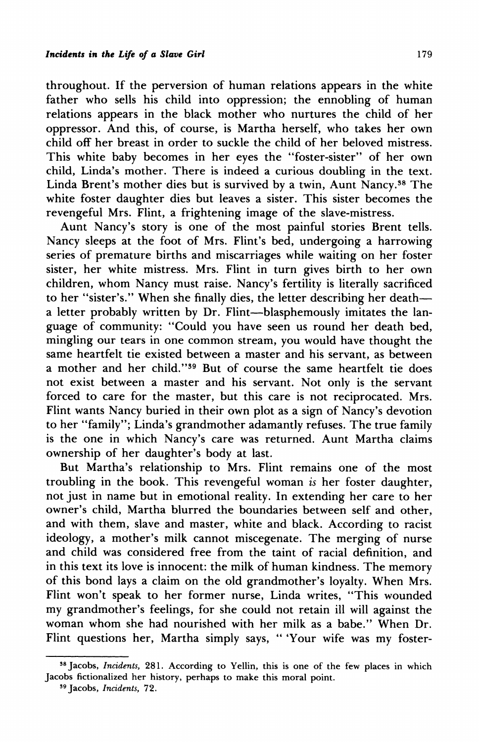**throughout. If the perversion of human relations appears in the white**  father who sells his child into oppression; the ennobling of human **relations appears in the black mother who nurtures the child of her oppressor. And this, of course, is Martha herself, who takes her own child off her breast in order to suckle the child of her beloved mistress. This white baby becomes in her eyes the "foster-sister" of her own child, Linda's mother. There is indeed a curious doubling in the text. Linda Brent's mother dies but is survived by a twin, Aunt Nancy.58 The white foster daughter dies but leaves a sister. This sister becomes the revengeful Mrs. Flint, a frightening image of the slave-mistress.** 

**Aunt Nancy's story is one of the most painful stories Brent tells. Nancy sleeps at the foot of Mrs. Flint's bed, undergoing a harrowing series of premature births and miscarriages while waiting on her foster sister, her white mistress. Mrs. Flint in turn gives birth to her own children, whom Nancy must raise. Nancy's fertility is literally sacrificed to her "sister's." When she finally dies, the letter describing her deatha letter probably written by Dr. Flint-blasphemously imitates the language of community: "Could you have seen us round her death bed, mingling our tears in one common stream, you would have thought the same heartfelt tie existed between a master and his servant, as between a mother and her child."39 But of course the same heartfelt tie does not exist between a master and his servant. Not only is the servant forced to care for the master, but this care is not reciprocated. Mrs. Flint wants Nancy buried in their own plot as a sign of Nancy's devotion to her "family"; Linda's grandmother adamantly refuses. The true family is the one in which Nancy's care was returned. Aunt Martha claims ownership of her daughter's body at last.** 

**But Martha's relationship to Mrs. Flint remains one of the most troubling in the book. This revengeful woman is her foster daughter, not just in name but in emotional reality. In extending her care to her owner's child, Martha blurred the boundaries between self and other, and with them, slave and master, white and black. According to racist ideology, a mother's milk cannot miscegenate. The merging of nurse and child was considered free from the taint of racial definition, and in this text its love is innocent: the milk of human kindness. The memory of this bond lays a claim on the old grandmother's loyalty. When Mrs. Flint won't speak to her former nurse, Linda writes, "This wounded my grandmother's feelings, for she could not retain ill will against the woman whom she had nourished with her milk as a babe." When Dr. Flint questions her, Martha simply says, "'Your wife was my foster-**

**<sup>38</sup>Jacobs, Incidents, 281. According to Yellin, this is one of the few places in which Jacobs fictionalized her history, perhaps to make this moral point.** 

<sup>&</sup>lt;sup>39</sup> Jacobs, *Incidents*, 72.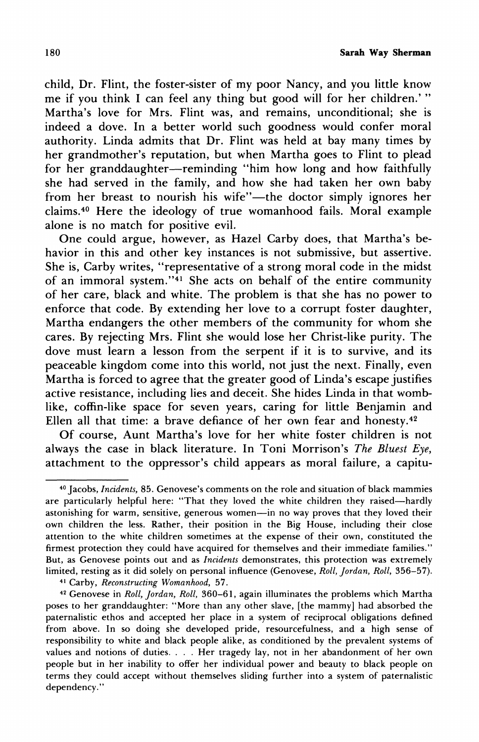**child, Dr. Flint, the foster-sister of my poor Nancy, and you little know**  me if you think I can feel any thing but good will for her children.' " Martha's love for Mrs. Flint was, and remains, unconditional; she is **indeed a dove. In a better world such goodness would confer moral authority. Linda admits that Dr. Flint was held at bay many times by her grandmother's reputation, but when Martha goes to Flint to plead for her granddaughter-reminding "him how long and how faithfully she had served in the family, and how she had taken her own baby**  from her breast to nourish his wife"-the doctor simply ignores her **claims.40 Here the ideology of true womanhood fails. Moral example alone is no match for positive evil.** 

**One could argue, however, as Hazel Carby does, that Martha's behavior in this and other key instances is not submissive, but assertive. She is, Carby writes, "representative of a strong moral code in the midst of an immoral system."'4' She acts on behalf of the entire community of her care, black and white. The problem is that she has no power to enforce that code. By extending her love to a corrupt foster daughter, Martha endangers the other members of the community for whom she cares. By rejecting Mrs. Flint she would lose her Christ-like purity. The dove must learn a lesson from the serpent if it is to survive, and its peaceable kingdom come into this world, not just the next. Finally, even Martha is forced to agree that the greater good of Linda's escape justifies active resistance, including lies and deceit. She hides Linda in that womblike, coffin-like space for seven years, caring for little Benjamin and**  Ellen all that time: a brave defiance of her own fear and honesty.<sup>42</sup>

**Of course, Aunt Martha's love for her white foster children is not always the case in black literature. In Toni Morrison's The Bluest Eye, attachment to the oppressor's child appears as moral failure, a capitu-**

<sup>&</sup>lt;sup>40</sup> Jacobs, *Incidents*, 85. Genovese's comments on the role and situation of black mammies **are particularly helpful here: "That they loved the white children they raised-hardly astonishing for warm, sensitive, generous women-in no way proves that they loved their own children the less. Rather, their position in the Big House, including their close attention to the white children sometimes at the expense of their own, constituted the firmest protection they could have acquired for themselves and their immediate families." But, as Genovese points out and as Incidents demonstrates, this protection was extremely limited, resting as it did solely on personal influence (Genovese, Roll, Jordan, Roll, 356-57).** 

**<sup>41</sup>Carby, Reconstructing Womanhood, 57.** 

**<sup>42</sup>Genovese in Roll, Jordan, Roll, 360-61, again illuminates the problems which Martha poses to her granddaughter: "More than any other slave, [the mammy] had absorbed the paternalistic ethos and accepted her place in a system of reciprocal obligations defined from above. In so doing she developed pride, resourcefulness, and a high sense of responsibility to white and black people alike, as conditioned by the prevalent systems of values and notions of duties. . . . Her tragedy lay, not in her abandonment of her own people but in her inability to offer her individual power and beauty to black people on terms they could accept without themselves sliding further into a system of paternalistic dependency."**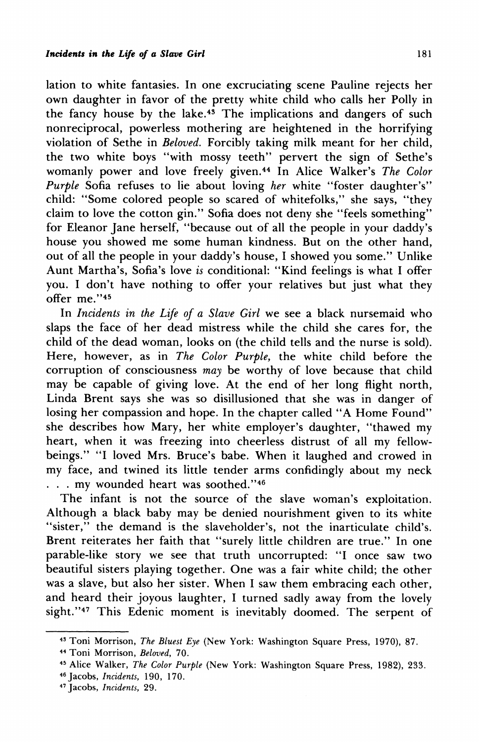**lation to white fantasies. In one excruciating scene Pauline rejects her own daughter in favor of the pretty white child who calls her Polly in the fancy house by the lake.43 The implications and dangers of such nonreciprocal, powerless mothering are heightened in the horrifying violation of Sethe in Beloved. Forcibly taking milk meant for her child, the two white boys "with mossy teeth" pervert the sign of Sethe's womanly power and love freely given.44 In Alice Walker's The Color Purple Sofia refuses to lie about loving her white "foster daughter's" child: "Some colored people so scared of whitefolks," she says, "they claim to love the cotton gin." Sofia does not deny she "feels something" for Eleanor Jane herself, "because out of all the people in your daddy's house you showed me some human kindness. But on the other hand, out of all the people in your daddy's house, I showed you some." Unlike Aunt Martha's, Sofia's love is conditional: "Kind feelings is what I offer you. I don't have nothing to offer your relatives but just what they offer me."45** 

**In Incidents in the Life of a Slave Girl we see a black nursemaid who slaps the face of her dead mistress while the child she cares for, the child of the dead woman, looks on (the child tells and the nurse is sold). Here, however, as in The Color Purple, the white child before the corruption of consciousness may be worthy of love because that child may be capable of giving love. At the end of her long flight north, Linda Brent says she was so disillusioned that she was in danger of losing her compassion and hope. In the chapter called "A Home Found" she describes how Mary, her white employer's daughter, "thawed my heart, when it was freezing into cheerless distrust of all my fellowbeings." "I loved Mrs. Bruce's babe. When it laughed and crowed in my face, and twined its little tender arms confidingly about my neck . . . my wounded heart was soothed."46** 

**The infant is not the source of the slave woman's exploitation. Although a black baby may be denied nourishment given to its white**  "sister," the demand is the slaveholder's, not the inarticulate child's. **Brent reiterates her faith that "surely little children are true." In one parable-like story we see that truth uncorrupted: "I once saw two beautiful sisters playing together. One was a fair white child; the other was a slave, but also her sister. When I saw them embracing each other, and heard their joyous laughter, I turned sadly away from the lovely sight."47 This Edenic moment is inevitably doomed. The serpent of** 

**<sup>41</sup>Toni Morrison, The Bluest Eye (New York: Washington Square Press, 1970), 87.** 

**<sup>44</sup> Toni Morrison, Beloved, 70.** 

**<sup>45</sup>Alice Walker, The Color Purple (New York: Washington Square Press, 1982), 233.** 

**<sup>46</sup>Jacobs, Incidents, 190, 170.** 

**<sup>47</sup> Jacobs, Incidents, 29.**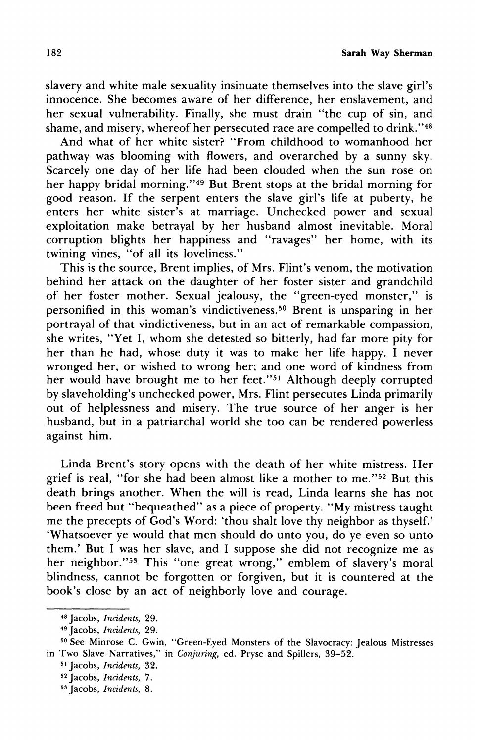**slavery and white male sexuality insinuate themselves into the slave girl's innocence. She becomes aware of her difference, her enslavement, and her sexual vulnerability. Finally, she must drain "the cup of sin, and shame, and misery, whereof her persecuted race are compelled to drink."48** 

**And what of her white sister? "From childhood to womanhood her pathway was blooming with flowers, and overarched by a sunny sky. Scarcely one day of her life had been clouded when the sun rose on her happy bridal morning."49 But Brent stops at the bridal morning for good reason. If the serpent enters the slave girl's life at puberty, he enters her white sister's at marriage. Unchecked power and sexual exploitation make betrayal by her husband almost inevitable. Moral corruption blights her happiness and "ravages" her home, with its twining vines, "of all its loveliness."** 

**This is the source, Brent implies, of Mrs. Flint's venom, the motivation behind her attack on the daughter of her foster sister and grandchild of her foster mother. Sexual jealousy, the "green-eyed monster," is personified in this woman's vindictiveness.50 Brent is unsparing in her portrayal of that vindictiveness, but in an act of remarkable compassion, she writes, "Yet I, whom she detested so bitterly, had far more pity for her than he had, whose duty it was to make her life happy. I never wronged her, or wished to wrong her; and one word of kindness from her would have brought me to her feet."'5' Although deeply corrupted by slaveholding's unchecked power, Mrs. Flint persecutes Linda primarily out of helplessness and misery. The true source of her anger is her husband, but in a patriarchal world she too can be rendered powerless against him.** 

**Linda Brent's story opens with the death of her white mistress. Her grief is real, "for she had been almost like a mother to me."52 But this death brings another. When the will is read, Linda learns she has not been freed but "bequeathed" as a piece of property. "My mistress taught me the precepts of God's Word: 'thou shalt love thy neighbor as thyself.' 'Whatsoever ye would that men should do unto you, do ye even so unto them.' But I was her slave, and I suppose she did not recognize me as her neighbor."53 This "one great wrong," emblem of slavery's moral blindness, cannot be forgotten or forgiven, but it is countered at the book's close by an act of neighborly love and courage.** 

<sup>&</sup>lt;sup>48</sup> Jacobs, *Incidents*, 29.

**<sup>49</sup> Jacobs, Incidents, 29.** 

**<sup>50</sup>See Minrose C. Gwin, "Green-Eyed Monsters of the Slavocracy: Jealous Mistresses in Two Slave Narratives," in Conjuring, ed. Pryse and Spillers, 39-52.** 

**<sup>5&#</sup>x27;Jacobs, Incidents, 32.** 

<sup>&</sup>lt;sup>52</sup> Jacobs, *Incidents*, 7.

<sup>&</sup>lt;sup>53</sup> Jacobs, *Incidents*, 8.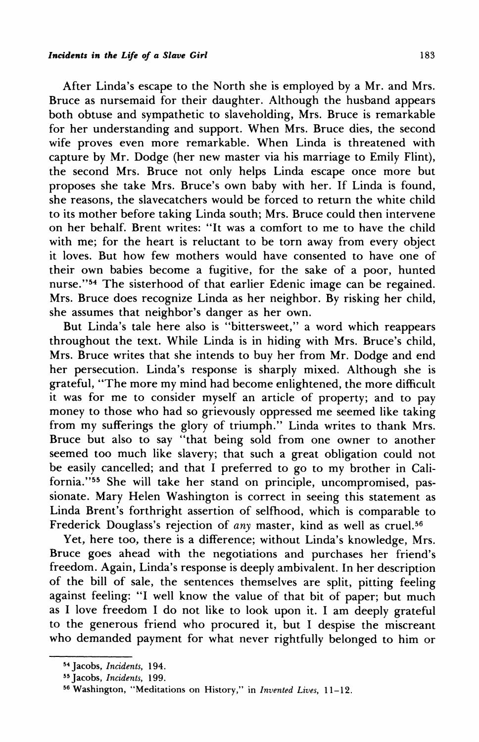**After Linda's escape to the North she is employed by a Mr. and Mrs. Bruce as nursemaid for their daughter. Although the husband appears both obtuse and sympathetic to slaveholding, Mrs. Bruce is remarkable for her understanding and support. When Mrs. Bruce dies, the second wife proves even more remarkable. When Linda is threatened with capture by Mr. Dodge (her new master via his marriage to Emily Flint), the second Mrs. Bruce not only helps Linda escape once more but proposes she take Mrs. Bruce's own baby with her. If Linda is found, she reasons, the slavecatchers would be forced to return the white child to its mother before taking Linda south; Mrs. Bruce could then intervene on her behalf. Brent writes: "It was a comfort to me to have the child with me; for the heart is reluctant to be torn away from every object it loves. But how few mothers would have consented to have one of their own babies become a fugitive, for the sake of a poor, hunted nurse."54 The sisterhood of that earlier Edenic image can be regained. Mrs. Bruce does recognize Linda as her neighbor. By risking her child, she assumes that neighbor's danger as her own.** 

**But Linda's tale here also is "bittersweet," a word which reappears throughout the text. While Linda is in hiding with Mrs. Bruce's child, Mrs. Bruce writes that she intends to buy her from Mr. Dodge and end her persecution. Linda's response is sharply mixed. Although she is grateful, "The more my mind had become enlightened, the more difficult it was for me to consider myself an article of property; and to pay money to those who had so grievously oppressed me seemed like taking from my sufferings the glory of triumph." Linda writes to thank Mrs.**  Bruce but also to say "that being sold from one owner to another **seemed too much like slavery; that such a great obligation could not be easily cancelled; and that I preferred to go to my brother in California."55 She will take her stand on principle, uncompromised, passionate. Mary Helen Washington is correct in seeing this statement as Linda Brent's forthright assertion of selfhood, which is comparable to Frederick Douglass's rejection of any master, kind as well as cruel.56** 

**Yet, here too, there is a difference; without Linda's knowledge, Mrs. Bruce goes ahead with the negotiations and purchases her friend's freedom. Again, Linda's response is deeply ambivalent. In her description of the bill of sale, the sentences themselves are split, pitting feeling against feeling: "I well know the value of that bit of paper; but much as I love freedom I do not like to look upon it. I am deeply grateful to the generous friend who procured it, but I despise the miscreant who demanded payment for what never rightfully belonged to him or** 

<sup>&</sup>lt;sup>54</sup> Jacobs, *Incidents*, 194.

<sup>&</sup>lt;sup>55</sup> Jacobs, *Incidents*, 199.

**<sup>56</sup> Washington, "Meditations on History," in Invented Lives, 11-12.**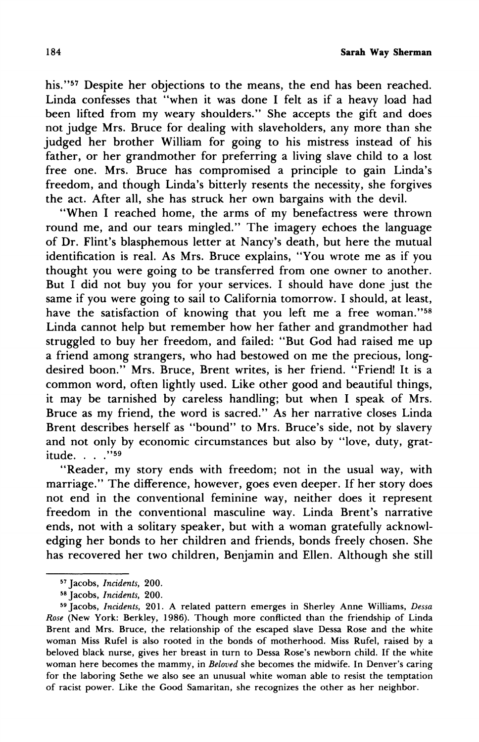**his."57 Despite her objections to the means, the end has been reached. Linda confesses that "when it was done I felt as if a heavy load had been lifted from my weary shoulders." She accepts the gift and does not judge Mrs. Bruce for dealing with slaveholders, any more than she judged her brother William for going to his mistress instead of his father, or her grandmother for preferring a living slave child to a lost free one. Mrs. Bruce has compromised a principle to gain Linda's freedom, and though Linda's bitterly resents the necessity, she forgives the act. After all, she has struck her own bargains with the devil.** 

**"When I reached home, the arms of my benefactress were thrown round me, and our tears mingled." The imagery echoes the language of Dr. Flint's blasphemous letter at Nancy's death, but here the mutual identification is real. As Mrs. Bruce explains, "You wrote me as if you thought you were going to be transferred from one owner to another. But I did not buy you for your services. I should have done just the same if you were going to sail to California tomorrow. I should, at least, have the satisfaction of knowing that you left me a free woman."58 Linda cannot help but remember how her father and grandmother had struggled to buy her freedom, and failed: "But God had raised me up a friend among strangers, who had bestowed on me the precious, longdesired boon." Mrs. Bruce, Brent writes, is her friend. "Friend! It is a common word, often lightly used. Like other good and beautiful things, it may be tarnished by careless handling; but when I speak of Mrs. Bruce as my friend, the word is sacred." As her narrative closes Linda Brent describes herself as "bound" to Mrs. Bruce's side, not by slavery and not only by economic circumstances but also by "love, duty, gratitude. . . ."59** 

**"Reader, my story ends with freedom; not in the usual way, with marriage." The difference, however, goes even deeper. If her story does not end in the conventional feminine way, neither does it represent freedom in the conventional masculine way. Linda Brent's narrative ends, not with a solitary speaker, but with a woman gratefully acknowledging her bonds to her children and friends, bonds freely chosen. She has recovered her two children, Benjamin and Ellen. Although she still** 

<sup>&</sup>lt;sup>57</sup> Jacobs, *Incidents*, 200.

<sup>&</sup>lt;sup>58</sup> Jacobs, *Incidents*, 200.

**<sup>59</sup>Jacobs, Incidents, 201. A related pattern emerges in Sherley Anne Williams, Dessa Rose (New York: Berkley, 1986). Though more conflicted than the friendship of Linda Brent and Mrs. Bruce, the relationship of the escaped slave Dessa Rose and the white woman Miss Rufel is also rooted in the bonds of motherhood. Miss Rufel, raised by a beloved black nurse, gives her breast in turn to Dessa Rose's newborn child. If the white woman here becomes the mammy, in Beloved she becomes the midwife. In Denver's caring for the laboring Sethe we also see an unusual white woman able to resist the temptation of racist power. Like the Good Samaritan, she recognizes the other as her neighbor.**